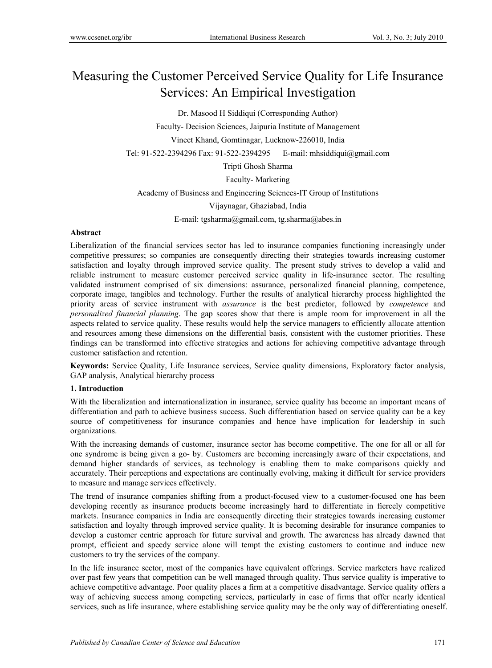# Measuring the Customer Perceived Service Quality for Life Insurance Services: An Empirical Investigation

Dr. Masood H Siddiqui (Corresponding Author) Faculty- Decision Sciences, Jaipuria Institute of Management Vineet Khand, Gomtinagar, Lucknow-226010, India Tel: 91-522-2394296 Fax: 91-522-2394295 E-mail: mhsiddiqui@gmail.com Tripti Ghosh Sharma Faculty- Marketing Academy of Business and Engineering Sciences-IT Group of Institutions Vijaynagar, Ghaziabad, India E-mail: tgsharma@gmail.com, tg.sharma@abes.in

#### **Abstract**

Liberalization of the financial services sector has led to insurance companies functioning increasingly under competitive pressures; so companies are consequently directing their strategies towards increasing customer satisfaction and loyalty through improved service quality. The present study strives to develop a valid and reliable instrument to measure customer perceived service quality in life-insurance sector. The resulting validated instrument comprised of six dimensions: assurance, personalized financial planning, competence, corporate image, tangibles and technology. Further the results of analytical hierarchy process highlighted the priority areas of service instrument with *assurance* is the best predictor, followed by *competence* and *personalized financial planning*. The gap scores show that there is ample room for improvement in all the aspects related to service quality. These results would help the service managers to efficiently allocate attention and resources among these dimensions on the differential basis, consistent with the customer priorities. These findings can be transformed into effective strategies and actions for achieving competitive advantage through customer satisfaction and retention.

**Keywords:** Service Quality, Life Insurance services, Service quality dimensions, Exploratory factor analysis, GAP analysis, Analytical hierarchy process

# **1. Introduction**

With the liberalization and internationalization in insurance, service quality has become an important means of differentiation and path to achieve business success. Such differentiation based on service quality can be a key source of competitiveness for insurance companies and hence have implication for leadership in such organizations.

With the increasing demands of customer, insurance sector has become competitive. The one for all or all for one syndrome is being given a go- by. Customers are becoming increasingly aware of their expectations, and demand higher standards of services, as technology is enabling them to make comparisons quickly and accurately. Their perceptions and expectations are continually evolving, making it difficult for service providers to measure and manage services effectively.

The trend of insurance companies shifting from a product-focused view to a customer-focused one has been developing recently as insurance products become increasingly hard to differentiate in fiercely competitive markets. Insurance companies in India are consequently directing their strategies towards increasing customer satisfaction and loyalty through improved service quality. It is becoming desirable for insurance companies to develop a customer centric approach for future survival and growth. The awareness has already dawned that prompt, efficient and speedy service alone will tempt the existing customers to continue and induce new customers to try the services of the company.

In the life insurance sector, most of the companies have equivalent offerings. Service marketers have realized over past few years that competition can be well managed through quality. Thus service quality is imperative to achieve competitive advantage. Poor quality places a firm at a competitive disadvantage. Service quality offers a way of achieving success among competing services, particularly in case of firms that offer nearly identical services, such as life insurance, where establishing service quality may be the only way of differentiating oneself.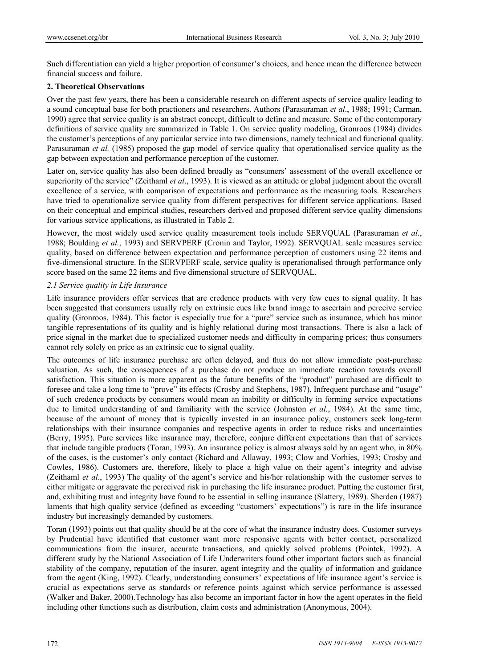Such differentiation can yield a higher proportion of consumer's choices, and hence mean the difference between financial success and failure.

## **2. Theoretical Observations**

Over the past few years, there has been a considerable research on different aspects of service quality leading to a sound conceptual base for both practioners and researchers. Authors (Parasuraman *et al*., 1988; 1991; Carman, 1990) agree that service quality is an abstract concept, difficult to define and measure. Some of the contemporary definitions of service quality are summarized in Table 1. On service quality modeling, Gronroos (1984) divides the customer's perceptions of any particular service into two dimensions, namely technical and functional quality. Parasuraman *et al.* (1985) proposed the gap model of service quality that operationalised service quality as the gap between expectation and performance perception of the customer.

Later on, service quality has also been defined broadly as "consumers' assessment of the overall excellence or superiority of the service" (Zeithaml *et al*., 1993). It is viewed as an attitude or global judgment about the overall excellence of a service, with comparison of expectations and performance as the measuring tools. Researchers have tried to operationalize service quality from different perspectives for different service applications. Based on their conceptual and empirical studies, researchers derived and proposed different service quality dimensions for various service applications, as illustrated in Table 2.

However, the most widely used service quality measurement tools include SERVQUAL (Parasuraman *et al.*, 1988; Boulding *et al.*, 1993) and SERVPERF (Cronin and Taylor, 1992). SERVQUAL scale measures service quality, based on difference between expectation and performance perception of customers using 22 items and five-dimensional structure. In the SERVPERF scale, service quality is operationalised through performance only score based on the same 22 items and five dimensional structure of SERVQUAL.

#### *2.1 Service quality in Life Insurance*

Life insurance providers offer services that are credence products with very few cues to signal quality. It has been suggested that consumers usually rely on extrinsic cues like brand image to ascertain and perceive service quality (Gronroos, 1984). This factor is especially true for a "pure" service such as insurance, which has minor tangible representations of its quality and is highly relational during most transactions. There is also a lack of price signal in the market due to specialized customer needs and difficulty in comparing prices; thus consumers cannot rely solely on price as an extrinsic cue to signal quality.

The outcomes of life insurance purchase are often delayed, and thus do not allow immediate post-purchase valuation. As such, the consequences of a purchase do not produce an immediate reaction towards overall satisfaction. This situation is more apparent as the future benefits of the "product" purchased are difficult to foresee and take a long time to "prove" its effects (Crosby and Stephens, 1987). Infrequent purchase and "usage" of such credence products by consumers would mean an inability or difficulty in forming service expectations due to limited understanding of and familiarity with the service (Johnston *et al.*, 1984). At the same time, because of the amount of money that is typically invested in an insurance policy, customers seek long-term relationships with their insurance companies and respective agents in order to reduce risks and uncertainties (Berry, 1995). Pure services like insurance may, therefore, conjure different expectations than that of services that include tangible products (Toran, 1993). An insurance policy is almost always sold by an agent who, in 80% of the cases, is the customer's only contact (Richard and Allaway, 1993; Clow and Vorhies, 1993; Crosby and Cowles, 1986). Customers are, therefore, likely to place a high value on their agent's integrity and advise (Zeithaml *et al*., 1993) The quality of the agent's service and his/her relationship with the customer serves to either mitigate or aggravate the perceived risk in purchasing the life insurance product. Putting the customer first, and, exhibiting trust and integrity have found to be essential in selling insurance (Slattery, 1989). Sherden (1987) laments that high quality service (defined as exceeding "customers' expectations") is rare in the life insurance industry but increasingly demanded by customers.

Toran (1993) points out that quality should be at the core of what the insurance industry does. Customer surveys by Prudential have identified that customer want more responsive agents with better contact, personalized communications from the insurer, accurate transactions, and quickly solved problems (Pointek, 1992). A different study by the National Association of Life Underwriters found other important factors such as financial stability of the company, reputation of the insurer, agent integrity and the quality of information and guidance from the agent (King, 1992). Clearly, understanding consumers' expectations of life insurance agent's service is crucial as expectations serve as standards or reference points against which service performance is assessed (Walker and Baker, 2000).Technology has also become an important factor in how the agent operates in the field including other functions such as distribution, claim costs and administration (Anonymous, 2004).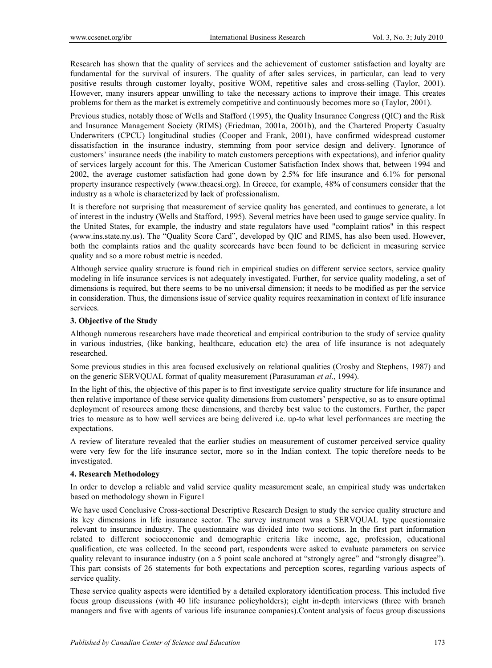Research has shown that the quality of services and the achievement of customer satisfaction and loyalty are fundamental for the survival of insurers. The quality of after sales services, in particular, can lead to very positive results through customer loyalty, positive WOM, repetitive sales and cross-selling (Taylor, 2001). However, many insurers appear unwilling to take the necessary actions to improve their image. This creates problems for them as the market is extremely competitive and continuously becomes more so (Taylor, 2001).

Previous studies, notably those of Wells and Stafford (1995), the Quality Insurance Congress (QIC) and the Risk and Insurance Management Society (RIMS) (Friedman, 2001a, 2001b), and the Chartered Property Casualty Underwriters (CPCU) longitudinal studies (Cooper and Frank, 2001), have confirmed widespread customer dissatisfaction in the insurance industry, stemming from poor service design and delivery. Ignorance of customers' insurance needs (the inability to match customers perceptions with expectations), and inferior quality of services largely account for this. The American Customer Satisfaction Index shows that, between 1994 and 2002, the average customer satisfaction had gone down by 2.5% for life insurance and 6.1% for personal property insurance respectively (www.theacsi.org). In Greece, for example, 48% of consumers consider that the industry as a whole is characterized by lack of professionalism.

It is therefore not surprising that measurement of service quality has generated, and continues to generate, a lot of interest in the industry (Wells and Stafford, 1995). Several metrics have been used to gauge service quality. In the United States, for example, the industry and state regulators have used "complaint ratios" in this respect (www.ins.state.ny.us). The "Quality Score Card", developed by QIC and RIMS, has also been used. However, both the complaints ratios and the quality scorecards have been found to be deficient in measuring service quality and so a more robust metric is needed.

Although service quality structure is found rich in empirical studies on different service sectors, service quality modeling in life insurance services is not adequately investigated. Further, for service quality modeling, a set of dimensions is required, but there seems to be no universal dimension; it needs to be modified as per the service in consideration. Thus, the dimensions issue of service quality requires reexamination in context of life insurance services.

# **3. Objective of the Study**

Although numerous researchers have made theoretical and empirical contribution to the study of service quality in various industries, (like banking, healthcare, education etc) the area of life insurance is not adequately researched.

Some previous studies in this area focused exclusively on relational qualities (Crosby and Stephens, 1987) and on the generic SERVQUAL format of quality measurement (Parasuraman *et al*., 1994).

In the light of this, the objective of this paper is to first investigate service quality structure for life insurance and then relative importance of these service quality dimensions from customers' perspective, so as to ensure optimal deployment of resources among these dimensions, and thereby best value to the customers. Further, the paper tries to measure as to how well services are being delivered i.e. up-to what level performances are meeting the expectations.

A review of literature revealed that the earlier studies on measurement of customer perceived service quality were very few for the life insurance sector, more so in the Indian context. The topic therefore needs to be investigated.

#### **4. Research Methodology**

In order to develop a reliable and valid service quality measurement scale, an empirical study was undertaken based on methodology shown in Figure1

We have used Conclusive Cross-sectional Descriptive Research Design to study the service quality structure and its key dimensions in life insurance sector. The survey instrument was a SERVQUAL type questionnaire relevant to insurance industry. The questionnaire was divided into two sections. In the first part information related to different socioeconomic and demographic criteria like income, age, profession, educational qualification, etc was collected. In the second part, respondents were asked to evaluate parameters on service quality relevant to insurance industry (on a 5 point scale anchored at "strongly agree" and "strongly disagree"). This part consists of 26 statements for both expectations and perception scores, regarding various aspects of service quality.

These service quality aspects were identified by a detailed exploratory identification process. This included five focus group discussions (with 40 life insurance policyholders); eight in-depth interviews (three with branch managers and five with agents of various life insurance companies).Content analysis of focus group discussions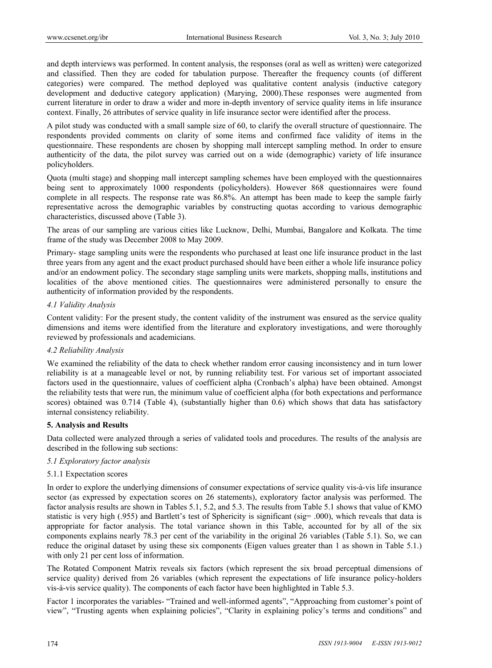and depth interviews was performed. In content analysis, the responses (oral as well as written) were categorized and classified. Then they are coded for tabulation purpose. Thereafter the frequency counts (of different categories) were compared. The method deployed was qualitative content analysis (inductive category development and deductive category application) (Marying, 2000).These responses were augmented from current literature in order to draw a wider and more in-depth inventory of service quality items in life insurance context. Finally, 26 attributes of service quality in life insurance sector were identified after the process.

A pilot study was conducted with a small sample size of 60, to clarify the overall structure of questionnaire. The respondents provided comments on clarity of some items and confirmed face validity of items in the questionnaire. These respondents are chosen by shopping mall intercept sampling method. In order to ensure authenticity of the data, the pilot survey was carried out on a wide (demographic) variety of life insurance policyholders.

Quota (multi stage) and shopping mall intercept sampling schemes have been employed with the questionnaires being sent to approximately 1000 respondents (policyholders). However 868 questionnaires were found complete in all respects. The response rate was 86.8%. An attempt has been made to keep the sample fairly representative across the demographic variables by constructing quotas according to various demographic characteristics, discussed above (Table 3).

The areas of our sampling are various cities like Lucknow, Delhi, Mumbai, Bangalore and Kolkata. The time frame of the study was December 2008 to May 2009.

Primary- stage sampling units were the respondents who purchased at least one life insurance product in the last three years from any agent and the exact product purchased should have been either a whole life insurance policy and/or an endowment policy. The secondary stage sampling units were markets, shopping malls, institutions and localities of the above mentioned cities. The questionnaires were administered personally to ensure the authenticity of information provided by the respondents.

#### *4.1 Validity Analysis*

Content validity: For the present study, the content validity of the instrument was ensured as the service quality dimensions and items were identified from the literature and exploratory investigations, and were thoroughly reviewed by professionals and academicians.

# *4.2 Reliability Analysis*

We examined the reliability of the data to check whether random error causing inconsistency and in turn lower reliability is at a manageable level or not, by running reliability test. For various set of important associated factors used in the questionnaire, values of coefficient alpha (Cronbach's alpha) have been obtained. Amongst the reliability tests that were run, the minimum value of coefficient alpha (for both expectations and performance scores) obtained was 0.714 (Table 4), (substantially higher than 0.6) which shows that data has satisfactory internal consistency reliability.

#### **5. Analysis and Results**

Data collected were analyzed through a series of validated tools and procedures. The results of the analysis are described in the following sub sections:

#### *5.1 Exploratory factor analysis*

# 5.1.1 Expectation scores

In order to explore the underlying dimensions of consumer expectations of service quality vis-à-vis life insurance sector (as expressed by expectation scores on 26 statements), exploratory factor analysis was performed. The factor analysis results are shown in Tables 5.1, 5.2, and 5.3. The results from Table 5.1 shows that value of KMO statistic is very high (.955) and Bartlett's test of Sphericity is significant (sig= .000), which reveals that data is appropriate for factor analysis. The total variance shown in this Table, accounted for by all of the six components explains nearly 78.3 per cent of the variability in the original 26 variables (Table 5.1). So, we can reduce the original dataset by using these six components (Eigen values greater than 1 as shown in Table 5.1.) with only 21 per cent loss of information.

The Rotated Component Matrix reveals six factors (which represent the six broad perceptual dimensions of service quality) derived from 26 variables (which represent the expectations of life insurance policy-holders vis-à-vis service quality). The components of each factor have been highlighted in Table 5.3.

Factor 1 incorporates the variables- "Trained and well-informed agents", "Approaching from customer's point of view", "Trusting agents when explaining policies", "Clarity in explaining policy's terms and conditions" and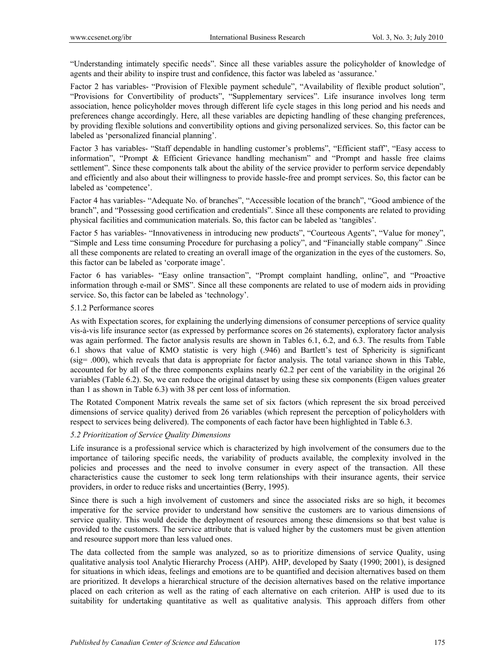"Understanding intimately specific needs". Since all these variables assure the policyholder of knowledge of agents and their ability to inspire trust and confidence, this factor was labeled as 'assurance.'

Factor 2 has variables- "Provision of Flexible payment schedule", "Availability of flexible product solution", "Provisions for Convertibility of products", "Supplementary services". Life insurance involves long term association, hence policyholder moves through different life cycle stages in this long period and his needs and preferences change accordingly. Here, all these variables are depicting handling of these changing preferences, by providing flexible solutions and convertibility options and giving personalized services. So, this factor can be labeled as 'personalized financial planning'.

Factor 3 has variables- "Staff dependable in handling customer's problems", "Efficient staff", "Easy access to information", "Prompt & Efficient Grievance handling mechanism" and "Prompt and hassle free claims settlement". Since these components talk about the ability of the service provider to perform service dependably and efficiently and also about their willingness to provide hassle-free and prompt services. So, this factor can be labeled as 'competence'.

Factor 4 has variables- "Adequate No. of branches", "Accessible location of the branch", "Good ambience of the branch", and "Possessing good certification and credentials". Since all these components are related to providing physical facilities and communication materials. So, this factor can be labeled as 'tangibles'.

Factor 5 has variables- "Innovativeness in introducing new products", "Courteous Agents", "Value for money", "Simple and Less time consuming Procedure for purchasing a policy", and "Financially stable company" .Since all these components are related to creating an overall image of the organization in the eyes of the customers. So, this factor can be labeled as 'corporate image'.

Factor 6 has variables- "Easy online transaction", "Prompt complaint handling, online", and "Proactive information through e-mail or SMS". Since all these components are related to use of modern aids in providing service. So, this factor can be labeled as 'technology'.

# 5.1.2 Performance scores

As with Expectation scores, for explaining the underlying dimensions of consumer perceptions of service quality vis-à-vis life insurance sector (as expressed by performance scores on 26 statements), exploratory factor analysis was again performed. The factor analysis results are shown in Tables 6.1, 6.2, and 6.3. The results from Table 6.1 shows that value of KMO statistic is very high (.946) and Bartlett's test of Sphericity is significant (sig= .000), which reveals that data is appropriate for factor analysis. The total variance shown in this Table, accounted for by all of the three components explains nearly 62.2 per cent of the variability in the original 26 variables (Table 6.2). So, we can reduce the original dataset by using these six components (Eigen values greater than 1 as shown in Table 6.3) with 38 per cent loss of information.

The Rotated Component Matrix reveals the same set of six factors (which represent the six broad perceived dimensions of service quality) derived from 26 variables (which represent the perception of policyholders with respect to services being delivered). The components of each factor have been highlighted in Table 6.3.

#### *5.2 Prioritization of Service Quality Dimensions*

Life insurance is a professional service which is characterized by high involvement of the consumers due to the importance of tailoring specific needs, the variability of products available, the complexity involved in the policies and processes and the need to involve consumer in every aspect of the transaction. All these characteristics cause the customer to seek long term relationships with their insurance agents, their service providers, in order to reduce risks and uncertainties (Berry, 1995).

Since there is such a high involvement of customers and since the associated risks are so high, it becomes imperative for the service provider to understand how sensitive the customers are to various dimensions of service quality. This would decide the deployment of resources among these dimensions so that best value is provided to the customers. The service attribute that is valued higher by the customers must be given attention and resource support more than less valued ones.

The data collected from the sample was analyzed, so as to prioritize dimensions of service Quality, using qualitative analysis tool Analytic Hierarchy Process (AHP). AHP, developed by Saaty (1990; 2001), is designed for situations in which ideas, feelings and emotions are to be quantified and decision alternatives based on them are prioritized. It develops a hierarchical structure of the decision alternatives based on the relative importance placed on each criterion as well as the rating of each alternative on each criterion. AHP is used due to its suitability for undertaking quantitative as well as qualitative analysis. This approach differs from other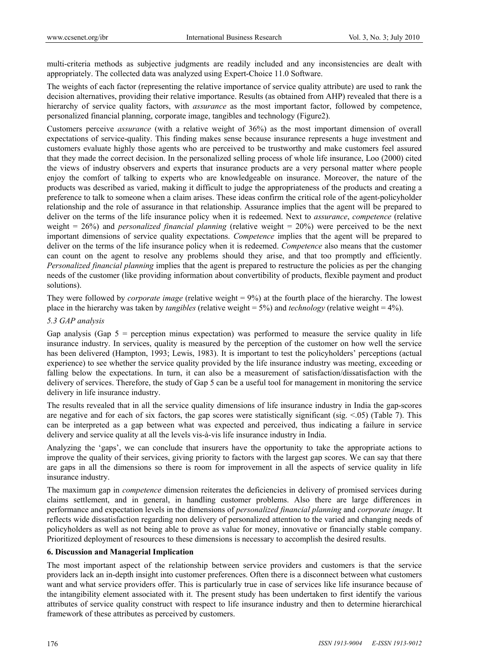multi-criteria methods as subjective judgments are readily included and any inconsistencies are dealt with appropriately. The collected data was analyzed using Expert-Choice 11.0 Software.

The weights of each factor (representing the relative importance of service quality attribute) are used to rank the decision alternatives, providing their relative importance. Results (as obtained from AHP) revealed that there is a hierarchy of service quality factors, with *assurance* as the most important factor, followed by competence, personalized financial planning, corporate image, tangibles and technology (Figure2).

Customers perceive *assurance* (with a relative weight of 36%) as the most important dimension of overall expectations of service-quality. This finding makes sense because insurance represents a huge investment and customers evaluate highly those agents who are perceived to be trustworthy and make customers feel assured that they made the correct decision. In the personalized selling process of whole life insurance, Loo (2000) cited the views of industry observers and experts that insurance products are a very personal matter where people enjoy the comfort of talking to experts who are knowledgeable on insurance. Moreover, the nature of the products was described as varied, making it difficult to judge the appropriateness of the products and creating a preference to talk to someone when a claim arises. These ideas confirm the critical role of the agent-policyholder relationship and the role of assurance in that relationship. Assurance implies that the agent will be prepared to deliver on the terms of the life insurance policy when it is redeemed. Next to *assurance*, *competence* (relative weight = 26%) and *personalized financial planning* (relative weight = 20%) were perceived to be the next important dimensions of service quality expectations. *Competence* implies that the agent will be prepared to deliver on the terms of the life insurance policy when it is redeemed. *Competence* also means that the customer can count on the agent to resolve any problems should they arise, and that too promptly and efficiently. *Personalized financial planning* implies that the agent is prepared to restructure the policies as per the changing needs of the customer (like providing information about convertibility of products, flexible payment and product solutions).

They were followed by *corporate image* (relative weight = 9%) at the fourth place of the hierarchy. The lowest place in the hierarchy was taken by *tangibles* (relative weight = 5%) and *technology* (relative weight = 4%).

## *5.3 GAP analysis*

Gap analysis (Gap  $5$  = perception minus expectation) was performed to measure the service quality in life insurance industry. In services, quality is measured by the perception of the customer on how well the service has been delivered (Hampton, 1993; Lewis, 1983). It is important to test the policyholders' perceptions (actual experience) to see whether the service quality provided by the life insurance industry was meeting, exceeding or falling below the expectations. In turn, it can also be a measurement of satisfaction/dissatisfaction with the delivery of services. Therefore, the study of Gap 5 can be a useful tool for management in monitoring the service delivery in life insurance industry.

The results revealed that in all the service quality dimensions of life insurance industry in India the gap-scores are negative and for each of six factors, the gap scores were statistically significant (sig. <.05) (Table 7). This can be interpreted as a gap between what was expected and perceived, thus indicating a failure in service delivery and service quality at all the levels vis-à-vis life insurance industry in India.

Analyzing the 'gaps', we can conclude that insurers have the opportunity to take the appropriate actions to improve the quality of their services, giving priority to factors with the largest gap scores. We can say that there are gaps in all the dimensions so there is room for improvement in all the aspects of service quality in life insurance industry.

The maximum gap in *competence* dimension reiterates the deficiencies in delivery of promised services during claims settlement, and in general, in handling customer problems. Also there are large differences in performance and expectation levels in the dimensions of *personalized financial planning* and *corporate image*. It reflects wide dissatisfaction regarding non delivery of personalized attention to the varied and changing needs of policyholders as well as not being able to prove as value for money, innovative or financially stable company. Prioritized deployment of resources to these dimensions is necessary to accomplish the desired results.

#### **6. Discussion and Managerial Implication**

The most important aspect of the relationship between service providers and customers is that the service providers lack an in-depth insight into customer preferences. Often there is a disconnect between what customers want and what service providers offer. This is particularly true in case of services like life insurance because of the intangibility element associated with it. The present study has been undertaken to first identify the various attributes of service quality construct with respect to life insurance industry and then to determine hierarchical framework of these attributes as perceived by customers.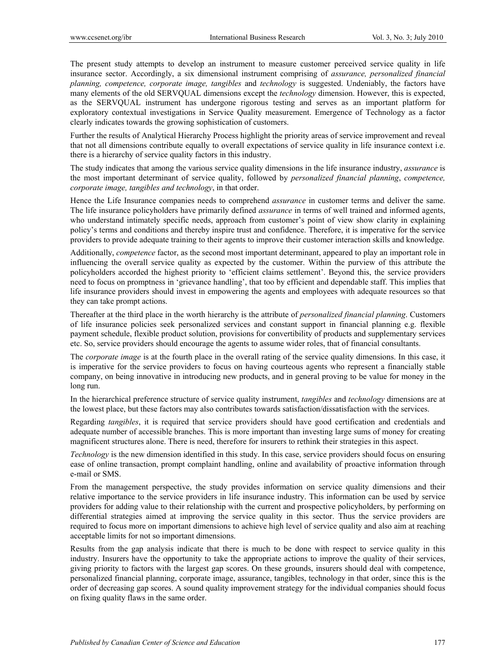The present study attempts to develop an instrument to measure customer perceived service quality in life insurance sector. Accordingly, a six dimensional instrument comprising of *assurance, personalized financial planning, competence, corporate image, tangibles* and *technology* is suggested. Undeniably, the factors have many elements of the old SERVQUAL dimensions except the *technology* dimension. However, this is expected, as the SERVQUAL instrument has undergone rigorous testing and serves as an important platform for exploratory contextual investigations in Service Quality measurement. Emergence of Technology as a factor clearly indicates towards the growing sophistication of customers.

Further the results of Analytical Hierarchy Process highlight the priority areas of service improvement and reveal that not all dimensions contribute equally to overall expectations of service quality in life insurance context i.e. there is a hierarchy of service quality factors in this industry.

The study indicates that among the various service quality dimensions in the life insurance industry, *assurance* is the most important determinant of service quality, followed by *personalized financial planning*, *competence, corporate image, tangibles and technology*, in that order.

Hence the Life Insurance companies needs to comprehend *assurance* in customer terms and deliver the same. The life insurance policyholders have primarily defined *assurance* in terms of well trained and informed agents, who understand intimately specific needs, approach from customer's point of view show clarity in explaining policy's terms and conditions and thereby inspire trust and confidence. Therefore, it is imperative for the service providers to provide adequate training to their agents to improve their customer interaction skills and knowledge.

Additionally, *competence* factor, as the second most important determinant, appeared to play an important role in influencing the overall service quality as expected by the customer. Within the purview of this attribute the policyholders accorded the highest priority to 'efficient claims settlement'. Beyond this, the service providers need to focus on promptness in 'grievance handling', that too by efficient and dependable staff. This implies that life insurance providers should invest in empowering the agents and employees with adequate resources so that they can take prompt actions.

Thereafter at the third place in the worth hierarchy is the attribute of *personalized financial planning*. Customers of life insurance policies seek personalized services and constant support in financial planning e.g. flexible payment schedule, flexible product solution, provisions for convertibility of products and supplementary services etc. So, service providers should encourage the agents to assume wider roles, that of financial consultants.

The *corporate image* is at the fourth place in the overall rating of the service quality dimensions. In this case, it is imperative for the service providers to focus on having courteous agents who represent a financially stable company, on being innovative in introducing new products, and in general proving to be value for money in the long run.

In the hierarchical preference structure of service quality instrument, *tangibles* and *technology* dimensions are at the lowest place, but these factors may also contributes towards satisfaction/dissatisfaction with the services.

Regarding *tangibles*, it is required that service providers should have good certification and credentials and adequate number of accessible branches. This is more important than investing large sums of money for creating magnificent structures alone. There is need, therefore for insurers to rethink their strategies in this aspect.

*Technology* is the new dimension identified in this study. In this case, service providers should focus on ensuring ease of online transaction, prompt complaint handling, online and availability of proactive information through e-mail or SMS.

From the management perspective, the study provides information on service quality dimensions and their relative importance to the service providers in life insurance industry. This information can be used by service providers for adding value to their relationship with the current and prospective policyholders, by performing on differential strategies aimed at improving the service quality in this sector. Thus the service providers are required to focus more on important dimensions to achieve high level of service quality and also aim at reaching acceptable limits for not so important dimensions.

Results from the gap analysis indicate that there is much to be done with respect to service quality in this industry. Insurers have the opportunity to take the appropriate actions to improve the quality of their services, giving priority to factors with the largest gap scores. On these grounds, insurers should deal with competence, personalized financial planning, corporate image, assurance, tangibles, technology in that order, since this is the order of decreasing gap scores. A sound quality improvement strategy for the individual companies should focus on fixing quality flaws in the same order.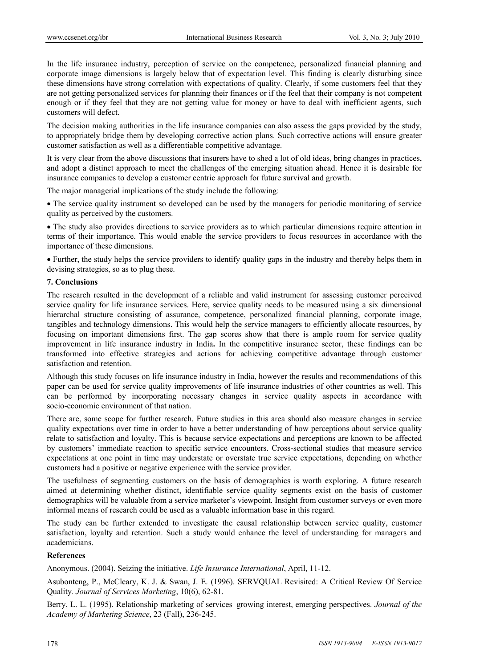In the life insurance industry, perception of service on the competence, personalized financial planning and corporate image dimensions is largely below that of expectation level. This finding is clearly disturbing since these dimensions have strong correlation with expectations of quality. Clearly, if some customers feel that they are not getting personalized services for planning their finances or if the feel that their company is not competent enough or if they feel that they are not getting value for money or have to deal with inefficient agents, such customers will defect.

The decision making authorities in the life insurance companies can also assess the gaps provided by the study, to appropriately bridge them by developing corrective action plans. Such corrective actions will ensure greater customer satisfaction as well as a differentiable competitive advantage.

It is very clear from the above discussions that insurers have to shed a lot of old ideas, bring changes in practices, and adopt a distinct approach to meet the challenges of the emerging situation ahead. Hence it is desirable for insurance companies to develop a customer centric approach for future survival and growth.

The major managerial implications of the study include the following:

• The service quality instrument so developed can be used by the managers for periodic monitoring of service quality as perceived by the customers.

• The study also provides directions to service providers as to which particular dimensions require attention in terms of their importance. This would enable the service providers to focus resources in accordance with the importance of these dimensions.

• Further, the study helps the service providers to identify quality gaps in the industry and thereby helps them in devising strategies, so as to plug these.

#### **7. Conclusions**

The research resulted in the development of a reliable and valid instrument for assessing customer perceived service quality for life insurance services. Here, service quality needs to be measured using a six dimensional hierarchal structure consisting of assurance, competence, personalized financial planning, corporate image, tangibles and technology dimensions. This would help the service managers to efficiently allocate resources, by focusing on important dimensions first. The gap scores show that there is ample room for service quality improvement in life insurance industry in India**.** In the competitive insurance sector, these findings can be transformed into effective strategies and actions for achieving competitive advantage through customer satisfaction and retention.

Although this study focuses on life insurance industry in India, however the results and recommendations of this paper can be used for service quality improvements of life insurance industries of other countries as well. This can be performed by incorporating necessary changes in service quality aspects in accordance with socio-economic environment of that nation.

There are, some scope for further research. Future studies in this area should also measure changes in service quality expectations over time in order to have a better understanding of how perceptions about service quality relate to satisfaction and loyalty. This is because service expectations and perceptions are known to be affected by customers' immediate reaction to specific service encounters. Cross-sectional studies that measure service expectations at one point in time may understate or overstate true service expectations, depending on whether customers had a positive or negative experience with the service provider.

The usefulness of segmenting customers on the basis of demographics is worth exploring. A future research aimed at determining whether distinct, identifiable service quality segments exist on the basis of customer demographics will be valuable from a service marketer's viewpoint. Insight from customer surveys or even more informal means of research could be used as a valuable information base in this regard.

The study can be further extended to investigate the causal relationship between service quality, customer satisfaction, loyalty and retention. Such a study would enhance the level of understanding for managers and academicians.

#### **References**

Anonymous. (2004). Seizing the initiative. *Life Insurance International*, April, 11-12.

Asubonteng, P., McCleary, K. J. & Swan, J. E. (1996). SERVQUAL Revisited: A Critical Review Of Service Quality. *Journal of Services Marketing*, 10(6), 62-81.

Berry, L. L. (1995). Relationship marketing of services–growing interest, emerging perspectives. *Journal of the Academy of Marketing Science*, 23 (Fall), 236-245.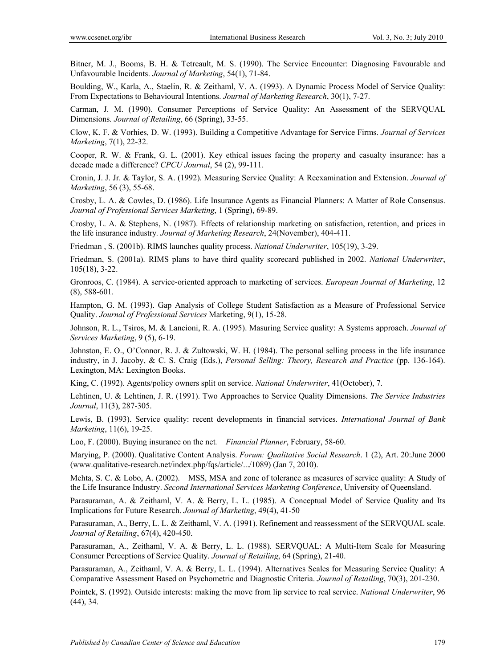Bitner, M. J., Booms, B. H. & Tetreault, M. S. (1990). The Service Encounter: Diagnosing Favourable and Unfavourable Incidents. *Journal of Marketing*, 54(1), 71-84.

Boulding, W., Karla, A., Staelin, R. & Zeithaml, V. A. (1993). A Dynamic Process Model of Service Quality: From Expectations to Behavioural Intentions. *Journal of Marketing Research*, 30(1), 7-27.

Carman, J. M. (1990). Consumer Perceptions of Service Quality: An Assessment of the SERVQUAL Dimensions*. Journal of Retailing*, 66 (Spring), 33-55.

Clow, K. F. & Vorhies, D. W. (1993). Building a Competitive Advantage for Service Firms. *Journal of Services Marketing*, 7(1), 22-32.

Cooper, R. W. & Frank, G. L. (2001). Key ethical issues facing the property and casualty insurance: has a decade made a difference? *CPCU Journal*, 54 (2), 99-111.

Cronin, J. J. Jr. & Taylor, S. A. (1992). Measuring Service Quality: A Reexamination and Extension. *Journal of Marketing*, 56 (3), 55-68.

Crosby, L. A. & Cowles, D. (1986). Life Insurance Agents as Financial Planners: A Matter of Role Consensus. *Journal of Professional Services Marketing*, 1 (Spring), 69-89.

Crosby, L. A. & Stephens, N. (1987). Effects of relationship marketing on satisfaction, retention, and prices in the life insurance industry*. Journal of Marketing Research*, 24(November), 404-411.

Friedman , S. (2001b). RIMS launches quality process. *National Underwriter*, 105(19), 3-29.

Friedman, S. (2001a). RIMS plans to have third quality scorecard published in 2002. *National Underwriter*, 105(18), 3-22.

Gronroos, C. (1984). A service-oriented approach to marketing of services. *European Journal of Marketing*, 12 (8), 588-601.

Hampton, G. M. (1993). Gap Analysis of College Student Satisfaction as a Measure of Professional Service Quality. *Journal of Professional Services* Marketing, 9(1), 15-28.

Johnson, R. L., Tsiros, M. & Lancioni, R. A. (1995). Masuring Service quality: A Systems approach. *Journal of Services Marketing*, 9 (5), 6-19.

Johnston, E. O., O'Connor, R. J. & Zultowski, W. H. (1984). The personal selling process in the life insurance industry, in J. Jacoby, & C. S. Craig (Eds.), *Personal Selling: Theory, Research and Practice* (pp. 136-164). Lexington, MA: Lexington Books.

King, C. (1992). Agents/policy owners split on service. *National Underwriter*, 41(October), 7.

Lehtinen, U. & Lehtinen, J. R. (1991). Two Approaches to Service Quality Dimensions. *The Service Industries Journal*, 11(3), 287-305.

Lewis, B. (1993). Service quality: recent developments in financial services. *International Journal of Bank Marketing*, 11(6), 19-25.

Loo, F. (2000). Buying insurance on the net*. Financial Planner*, February, 58-60.

Marying, P. (2000). Qualitative Content Analysis. *Forum: Qualitative Social Research*. 1 (2), Art. 20:June 2000 (www.qualitative-research.net/index.php/fqs/article/.../1089) (Jan 7, 2010).

Mehta, S. C. & Lobo, A. (2002). MSS, MSA and zone of tolerance as measures of service quality: A Study of the Life Insurance Industry. *Second International Services Marketing Conference*, University of Queensland.

Parasuraman, A. & Zeithaml, V. A. & Berry, L. L. (1985). A Conceptual Model of Service Quality and Its Implications for Future Research. *Journal of Marketing*, 49(4), 41-50

Parasuraman, A., Berry, L. L. & Zeithaml, V. A. (1991). Refinement and reassessment of the SERVQUAL scale. *Journal of Retailing*, 67(4), 420-450.

Parasuraman, A., Zeithaml, V. A. & Berry, L. L. (1988). SERVQUAL: A Multi-Item Scale for Measuring Consumer Perceptions of Service Quality. *Journal of Retailing*, 64 (Spring), 21-40.

Parasuraman, A., Zeithaml, V. A. & Berry, L. L. (1994). Alternatives Scales for Measuring Service Quality: A Comparative Assessment Based on Psychometric and Diagnostic Criteria. *Journal of Retailing*, 70(3), 201-230.

Pointek, S. (1992). Outside interests: making the move from lip service to real service. *National Underwriter*, 96 (44), 34.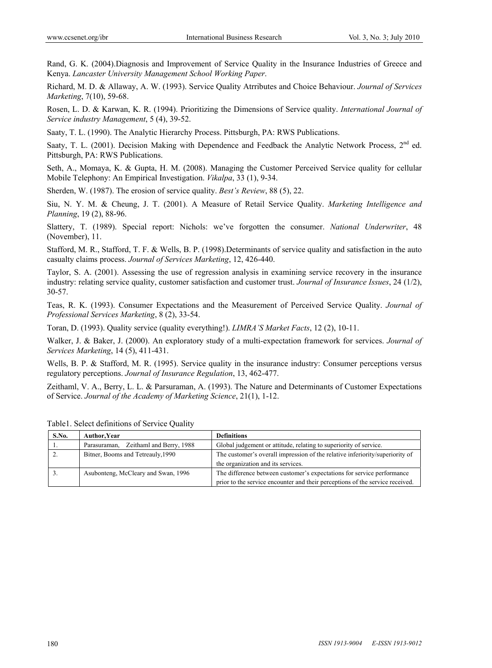Rand, G. K. (2004).Diagnosis and Improvement of Service Quality in the Insurance Industries of Greece and Kenya. *Lancaster University Management School Working Paper*.

Richard, M. D. & Allaway, A. W. (1993). Service Quality Atrributes and Choice Behaviour. *Journal of Services Marketing*, 7(10), 59-68.

Rosen, L. D. & Karwan, K. R. (1994). Prioritizing the Dimensions of Service quality. *International Journal of Service industry Management*, 5 (4), 39-52.

Saaty, T. L. (1990). The Analytic Hierarchy Process. Pittsburgh, PA: RWS Publications.

Saaty, T. L. (2001). Decision Making with Dependence and Feedback the Analytic Network Process, 2<sup>nd</sup> ed. Pittsburgh, PA: RWS Publications.

Seth, A., Momaya, K. & Gupta, H. M. (2008). Managing the Customer Perceived Service quality for cellular Mobile Telephony: An Empirical Investigation. *Vikalpa*, 33 (1), 9-34.

Sherden, W. (1987). The erosion of service quality. *Best's Review*, 88 (5), 22.

Siu, N. Y. M. & Cheung, J. T. (2001). A Measure of Retail Service Quality. *Marketing Intelligence and Planning*, 19 (2), 88-96.

Slattery, T. (1989). Special report: Nichols: we've forgotten the consumer. *National Underwriter*, 48 (November), 11.

Stafford, M. R., Stafford, T. F. & Wells, B. P. (1998).Determinants of service quality and satisfaction in the auto casualty claims process. *Journal of Services Marketing*, 12, 426-440.

Taylor, S. A. (2001). Assessing the use of regression analysis in examining service recovery in the insurance industry: relating service quality, customer satisfaction and customer trust. *Journal of Insurance Issues*, 24 (1/2), 30-57.

Teas, R. K. (1993). Consumer Expectations and the Measurement of Perceived Service Quality. *Journal of Professional Services Marketing*, 8 (2), 33-54.

Toran, D. (1993). Quality service (quality everything!). *LIMRA'S Market Facts*, 12 (2), 10-11.

Walker, J. & Baker, J. (2000). An exploratory study of a multi-expectation framework for services. *Journal of Services Marketing*, 14 (5), 411-431.

Wells, B. P. & Stafford, M. R. (1995). Service quality in the insurance industry: Consumer perceptions versus regulatory perceptions. *Journal of Insurance Regulation*, 13, 462-477.

Zeithaml, V. A., Berry, L. L. & Parsuraman, A. (1993). The Nature and Determinants of Customer Expectations of Service. *Journal of the Academy of Marketing Science*, 21(1), 1-12.

| S.No. | Author, Year                             | <b>Definitions</b>                                                            |
|-------|------------------------------------------|-------------------------------------------------------------------------------|
|       | Zeithaml and Berry, 1988<br>Parasuraman. | Global judgement or attitude, relating to superiority of service.             |
|       | Bitner, Booms and Tetreauly, 1990        | The customer's overall impression of the relative inferiority/superiority of  |
|       |                                          | the organization and its services.                                            |
|       | Asubonteng, McCleary and Swan, 1996      | The difference between customer's expectations for service performance        |
|       |                                          | prior to the service encounter and their perceptions of the service received. |

Table1. Select definitions of Service Quality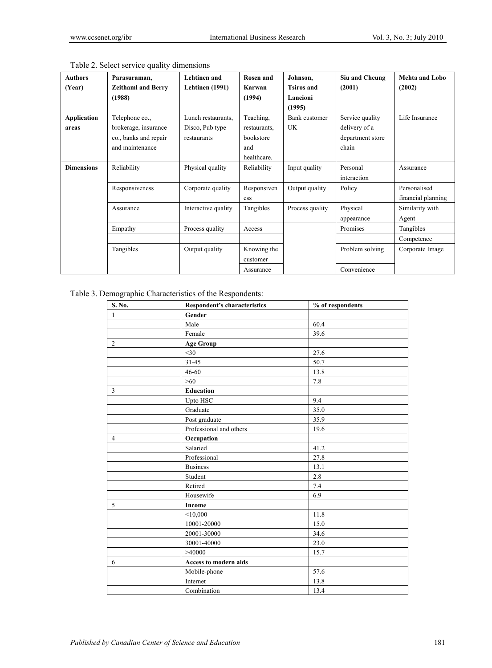| <b>Authors</b><br>(Year)    | Parasuraman,<br><b>Zeithaml and Berry</b><br>(1988)                                | <b>Lehtinen</b> and<br>Lehtinen (1991)               | Rosen and<br>Karwan<br>(1994)                                | Johnson,<br><b>Tsiros</b> and<br>Lancioni<br>(1995) | Siu and Cheung<br>(2001)                                      | Mehta and Lobo<br>(2002)           |
|-----------------------------|------------------------------------------------------------------------------------|------------------------------------------------------|--------------------------------------------------------------|-----------------------------------------------------|---------------------------------------------------------------|------------------------------------|
| <b>Application</b><br>areas | Telephone co.,<br>brokerage, insurance<br>co., banks and repair<br>and maintenance | Lunch restaurants,<br>Disco, Pub type<br>restaurants | Teaching,<br>restaurants,<br>bookstore<br>and<br>healthcare. | Bank customer<br><b>UK</b>                          | Service quality<br>delivery of a<br>department store<br>chain | Life Insurance                     |
| <b>Dimensions</b>           | Reliability                                                                        | Physical quality                                     | Reliability                                                  | Input quality                                       | Personal<br>interaction                                       | Assurance                          |
|                             | Responsiveness                                                                     | Corporate quality                                    | Responsiven<br>ess                                           | Output quality                                      | Policy                                                        | Personalised<br>financial planning |
|                             | Assurance                                                                          | Interactive quality                                  | Tangibles                                                    | Process quality                                     | Physical<br>appearance                                        | Similarity with<br>Agent           |
|                             | Empathy                                                                            | Process quality                                      | Access                                                       |                                                     | Promises                                                      | Tangibles                          |
|                             |                                                                                    |                                                      |                                                              |                                                     |                                                               | Competence                         |
|                             | Tangibles                                                                          | Output quality                                       | Knowing the<br>customer                                      |                                                     | Problem solving                                               | Corporate Image                    |
|                             |                                                                                    |                                                      | Assurance                                                    |                                                     | Convenience                                                   |                                    |

Table 2. Select service quality dimensions

# Table 3. Demographic Characteristics of the Respondents:

| S. No.         | <b>Respondent's characteristics</b> | % of respondents |
|----------------|-------------------------------------|------------------|
| 1              | Gender                              |                  |
|                | Male                                | 60.4             |
|                | Female                              | 39.6             |
| $\overline{2}$ | <b>Age Group</b>                    |                  |
|                | $<$ 30                              | 27.6             |
|                | $31 - 45$                           | 50.7             |
|                | 46-60                               | 13.8             |
|                | $>60$                               | 7.8              |
| $\mathfrak{Z}$ | <b>Education</b>                    |                  |
|                | Upto HSC                            | 9.4              |
|                | Graduate                            | 35.0             |
|                | Post graduate                       | 35.9             |
|                | Professional and others             | 19.6             |
| $\overline{4}$ | Occupation                          |                  |
|                | Salaried                            | 41.2             |
|                | Professional                        | 27.8             |
|                | <b>Business</b>                     | 13.1             |
|                | Student                             | 2.8              |
|                | Retired                             | 7.4              |
|                | Housewife                           | 6.9              |
| 5              | Income                              |                  |
|                | < 10,000                            | 11.8             |
|                | 10001-20000                         | 15.0             |
|                | 20001-30000                         | 34.6             |
|                | 30001-40000                         | 23.0             |
|                | >40000                              | 15.7             |
| 6              | Access to modern aids               |                  |
|                | Mobile-phone                        | 57.6             |
|                | Internet                            | 13.8             |
|                | Combination                         | 13.4             |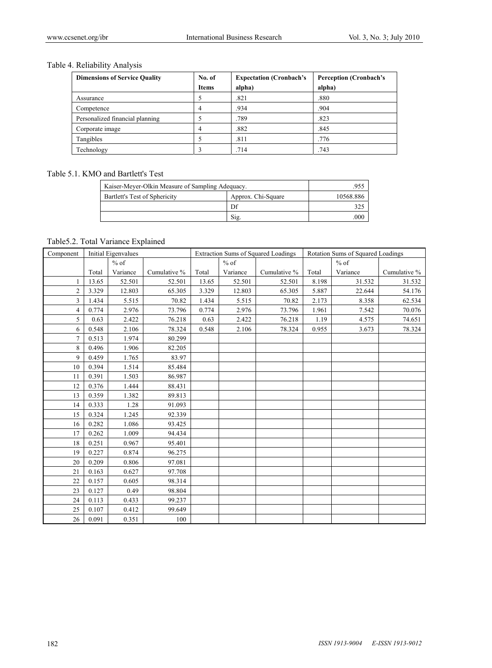# Table 4. Reliability Analysis

| <b>Dimensions of Service Quality</b> | No. of       | <b>Expectation (Cronbach's</b> | <b>Perception (Cronbach's</b> |
|--------------------------------------|--------------|--------------------------------|-------------------------------|
|                                      | <b>Items</b> | alpha)                         | alpha)                        |
| Assurance                            |              | .821                           | .880                          |
| Competence                           | 4            | .934                           | .904                          |
| Personalized financial planning      |              | .789                           | .823                          |
| Corporate image                      | 4            | .882                           | .845                          |
| Tangibles                            |              | .811                           | .776                          |
| Technology                           |              | .714                           | .743                          |

# Table 5.1. KMO and Bartlett's Test

| Kaiser-Meyer-Olkin Measure of Sampling Adequacy. |                    |     |  |  |
|--------------------------------------------------|--------------------|-----|--|--|
| Bartlett's Test of Sphericity                    | Approx. Chi-Square |     |  |  |
|                                                  | Df                 |     |  |  |
|                                                  | Sig.               | 000 |  |  |

# Table5.2. Total Variance Explained

| Component      | Initial Eigenvalues |          |              | <b>Extraction Sums of Squared Loadings</b> |          |              | Rotation Sums of Squared Loadings |          |              |
|----------------|---------------------|----------|--------------|--------------------------------------------|----------|--------------|-----------------------------------|----------|--------------|
|                |                     | $%$ of   |              |                                            | $%$ of   |              |                                   | $%$ of   |              |
|                | Total               | Variance | Cumulative % | Total                                      | Variance | Cumulative % | Total                             | Variance | Cumulative % |
| 1              | 13.65               | 52.501   | 52.501       | 13.65                                      | 52.501   | 52.501       | 8.198                             | 31.532   | 31.532       |
| $\overline{c}$ | 3.329               | 12.803   | 65.305       | 3.329                                      | 12.803   | 65.305       | 5.887                             | 22.644   | 54.176       |
| 3              | 1.434               | 5.515    | 70.82        | 1.434                                      | 5.515    | 70.82        | 2.173                             | 8.358    | 62.534       |
| 4              | 0.774               | 2.976    | 73.796       | 0.774                                      | 2.976    | 73.796       | 1.961                             | 7.542    | 70.076       |
| 5              | 0.63                | 2.422    | 76.218       | 0.63                                       | 2.422    | 76.218       | 1.19                              | 4.575    | 74.651       |
| 6              | 0.548               | 2.106    | 78.324       | 0.548                                      | 2.106    | 78.324       | 0.955                             | 3.673    | 78.324       |
| 7              | 0.513               | 1.974    | 80.299       |                                            |          |              |                                   |          |              |
| 8              | 0.496               | 1.906    | 82.205       |                                            |          |              |                                   |          |              |
| 9              | 0.459               | 1.765    | 83.97        |                                            |          |              |                                   |          |              |
| 10             | 0.394               | 1.514    | 85.484       |                                            |          |              |                                   |          |              |
| 11             | 0.391               | 1.503    | 86.987       |                                            |          |              |                                   |          |              |
| 12             | 0.376               | 1.444    | 88.431       |                                            |          |              |                                   |          |              |
| 13             | 0.359               | 1.382    | 89.813       |                                            |          |              |                                   |          |              |
| 14             | 0.333               | 1.28     | 91.093       |                                            |          |              |                                   |          |              |
| 15             | 0.324               | 1.245    | 92.339       |                                            |          |              |                                   |          |              |
| 16             | 0.282               | 1.086    | 93.425       |                                            |          |              |                                   |          |              |
| 17             | 0.262               | 1.009    | 94.434       |                                            |          |              |                                   |          |              |
| 18             | 0.251               | 0.967    | 95.401       |                                            |          |              |                                   |          |              |
| 19             | 0.227               | 0.874    | 96.275       |                                            |          |              |                                   |          |              |
| 20             | 0.209               | 0.806    | 97.081       |                                            |          |              |                                   |          |              |
| 21             | 0.163               | 0.627    | 97.708       |                                            |          |              |                                   |          |              |
| 22             | 0.157               | 0.605    | 98.314       |                                            |          |              |                                   |          |              |
| 23             | 0.127               | 0.49     | 98.804       |                                            |          |              |                                   |          |              |
| 24             | 0.113               | 0.433    | 99.237       |                                            |          |              |                                   |          |              |
| 25             | 0.107               | 0.412    | 99.649       |                                            |          |              |                                   |          |              |
| 26             | 0.091               | 0.351    | 100          |                                            |          |              |                                   |          |              |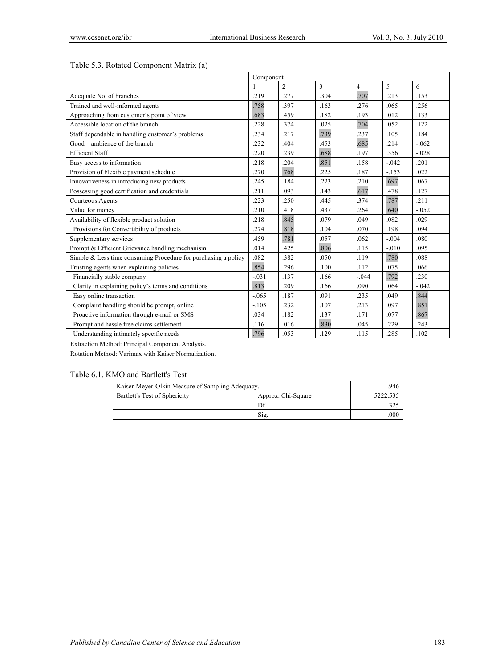# Table 5.3. Rotated Component Matrix (a)

|                                                                  | Component |                |               |                |         |          |  |  |
|------------------------------------------------------------------|-----------|----------------|---------------|----------------|---------|----------|--|--|
|                                                                  |           | $\overline{2}$ | $\mathcal{E}$ | $\overline{4}$ | 5       | 6        |  |  |
| Adequate No. of branches                                         | .219      | .277           | .304          | .707           | .213    | .153     |  |  |
| Trained and well-informed agents                                 | .758      | .397           | .163          | .276           | .065    | .256     |  |  |
| Approaching from customer's point of view                        | .683      | .459           | .182          | .193           | .012    | .133     |  |  |
| Accessible location of the branch                                | .228      | .374           | .025          | .704           | .052    | .122     |  |  |
| Staff dependable in handling customer's problems                 | .234      | .217           | .739          | .237           | .105    | .184     |  |  |
| Good ambience of the branch                                      | .232      | 404            | .453          | .685           | .214    | $-062$   |  |  |
| <b>Efficient Staff</b>                                           | .220      | .239           | .688          | .197           | .356    | $-.028$  |  |  |
| Easy access to information                                       | .218      | .204           | .851          | .158           | $-.042$ | .201     |  |  |
| Provision of Flexible payment schedule                           | .270      | .768           | .225          | .187           | $-153$  | .022     |  |  |
| Innovativeness in introducing new products                       | .245      | .184           | .223          | .210           | .697    | .067     |  |  |
| Possessing good certification and credentials                    | .211      | .093           | .143          | .617           | .478    | .127     |  |  |
| Courteous Agents                                                 | .223      | .250           | .445          | .374           | .787    | .211     |  |  |
| Value for money                                                  | .210      | .418           | .437          | .264           | .640    | $-0.52$  |  |  |
| Availability of flexible product solution                        | .218      | .845           | .079          | .049           | .082    | .029     |  |  |
| Provisions for Convertibility of products                        | .274      | .818           | .104          | .070           | .198    | .094     |  |  |
| Supplementary services                                           | .459      | .781           | .057          | .062           | $-.004$ | .080     |  |  |
| Prompt & Efficient Grievance handling mechanism                  | .014      | .425           | .806          | .115           | $-.010$ | .095     |  |  |
| Simple $&$ Less time consuming Procedure for purchasing a policy | .082      | .382           | .050          | .119           | .780    | .088     |  |  |
| Trusting agents when explaining policies                         | .854      | .296           | .100          | .112           | .075    | .066     |  |  |
| Financially stable company                                       | $-.031$   | .137           | .166          | $-.044$        | .792    | 230      |  |  |
| Clarity in explaining policy's terms and conditions              | .813      | .209           | .166          | .090           | .064    | $-0.042$ |  |  |
| Easy online transaction                                          | $-.065$   | .187           | .091          | .235           | .049    | .844     |  |  |
| Complaint handling should be prompt, online                      | $-.105$   | .232           | .107          | .213           | .097    | .851     |  |  |
| Proactive information through e-mail or SMS                      | .034      | .182           | .137          | .171           | .077    | 867      |  |  |
| Prompt and hassle free claims settlement                         | .116      | .016           | .830          | .045           | .229    | .243     |  |  |
| Understanding intimately specific needs                          | .796      | .053           | .129          | .115           | .285    | .102     |  |  |

Extraction Method: Principal Component Analysis.

Rotation Method: Varimax with Kaiser Normalization.

# Table 6.1. KMO and Bartlett's Test

| Kaiser-Meyer-Olkin Measure of Sampling Adequacy. | 946 |      |
|--------------------------------------------------|-----|------|
| Bartlett's Test of Sphericity                    |     |      |
|                                                  | Df  |      |
|                                                  | Sig | .000 |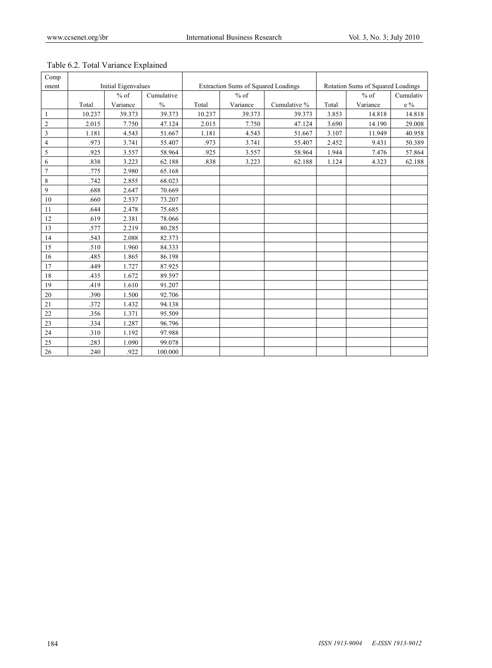| Comp            |                     |          |               |                                            |          |              |                                   |          |           |
|-----------------|---------------------|----------|---------------|--------------------------------------------|----------|--------------|-----------------------------------|----------|-----------|
| onent           | Initial Eigenvalues |          |               | <b>Extraction Sums of Squared Loadings</b> |          |              | Rotation Sums of Squared Loadings |          |           |
|                 |                     | $%$ of   | Cumulative    |                                            | $%$ of   |              |                                   | $%$ of   | Cumulativ |
|                 | Total               | Variance | $\frac{0}{0}$ | Total                                      | Variance | Cumulative % | Total                             | Variance | $e\%$     |
| $\mathbf{1}$    | 10.237              | 39.373   | 39.373        | 10.237                                     | 39.373   | 39.373       | 3.853                             | 14.818   | 14.818    |
| $\overline{2}$  | 2.015               | 7.750    | 47.124        | 2.015                                      | 7.750    | 47.124       | 3.690                             | 14.190   | 29.008    |
| $\mathbf{3}$    | 1.181               | 4.543    | 51.667        | 1.181                                      | 4.543    | 51.667       | 3.107                             | 11.949   | 40.958    |
| $\overline{4}$  | .973                | 3.741    | 55.407        | .973                                       | 3.741    | 55.407       | 2.452                             | 9.431    | 50.389    |
| 5               | .925                | 3.557    | 58.964        | .925                                       | 3.557    | 58.964       | 1.944                             | 7.476    | 57.864    |
| 6               | .838                | 3.223    | 62.188        | .838                                       | 3.223    | 62.188       | 1.124                             | 4.323    | 62.188    |
| $7\phantom{.0}$ | .775                | 2.980    | 65.168        |                                            |          |              |                                   |          |           |
| $\,8\,$         | .742                | 2.855    | 68.023        |                                            |          |              |                                   |          |           |
| 9               | .688                | 2.647    | 70.669        |                                            |          |              |                                   |          |           |
| 10              | .660                | 2.537    | 73.207        |                                            |          |              |                                   |          |           |
| 11              | .644                | 2.478    | 75.685        |                                            |          |              |                                   |          |           |
| 12              | .619                | 2.381    | 78.066        |                                            |          |              |                                   |          |           |
| 13              | .577                | 2.219    | 80.285        |                                            |          |              |                                   |          |           |
| 14              | .543                | 2.088    | 82.373        |                                            |          |              |                                   |          |           |
| 15              | .510                | 1.960    | 84.333        |                                            |          |              |                                   |          |           |
| 16              | .485                | 1.865    | 86.198        |                                            |          |              |                                   |          |           |
| 17              | .449                | 1.727    | 87.925        |                                            |          |              |                                   |          |           |
| 18              | .435                | 1.672    | 89.597        |                                            |          |              |                                   |          |           |
| 19              | .419                | 1.610    | 91.207        |                                            |          |              |                                   |          |           |
| 20              | .390                | 1.500    | 92.706        |                                            |          |              |                                   |          |           |
| 21              | .372                | 1.432    | 94.138        |                                            |          |              |                                   |          |           |
| 22              | .356                | 1.371    | 95.509        |                                            |          |              |                                   |          |           |
| 23              | .334                | 1.287    | 96.796        |                                            |          |              |                                   |          |           |
| 24              | .310                | 1.192    | 97.988        |                                            |          |              |                                   |          |           |
| 25              | .283                | 1.090    | 99.078        |                                            |          |              |                                   |          |           |
| 26              | .240                | .922     | 100.000       |                                            |          |              |                                   |          |           |

# Table 6.2. Total Variance Explained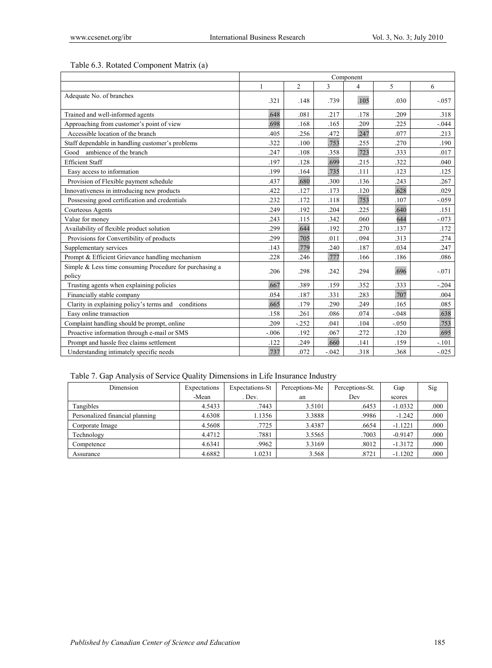$\overline{1}$ 

| Table 6.3. Rotated Component Matrix (a) |  |  |
|-----------------------------------------|--|--|
|                                         |  |  |

|                                                                     | Component    |         |          |      |         |         |
|---------------------------------------------------------------------|--------------|---------|----------|------|---------|---------|
|                                                                     | $\mathbf{1}$ | 2       | 3        | 4    | 5       | 6       |
| Adequate No. of branches                                            | .321         | .148    | .739     | .105 | .030    | $-.057$ |
| Trained and well-informed agents                                    | .648         | .081    | .217     | .178 | .209    | .318    |
| Approaching from customer's point of view                           | .698         | .168    | .165     | .209 | .225    | $-.044$ |
| Accessible location of the branch                                   | .405         | .256    | .472     | .247 | .077    | .213    |
| Staff dependable in handling customer's problems                    | .322         | .100    | .753     | .255 | .270    | .190    |
| ambience of the branch<br>Good                                      | .247         | .108    | .358     | .723 | .333    | .017    |
| <b>Efficient Staff</b>                                              | .197         | .128    | .699     | .215 | .322    | .040    |
| Easy access to information                                          | .199         | .164    | .735     | .111 | .123    | .125    |
| Provision of Flexible payment schedule                              | .437         | .680    | .300     | .136 | .243    | .267    |
| Innovativeness in introducing new products                          | .422         | .127    | .173     | .120 | .628    | .029    |
| Possessing good certification and credentials                       | .232         | .172    | .118     | .753 | .107    | $-.059$ |
| Courteous Agents                                                    | .249         | .192    | .204     | .225 | .640    | .151    |
| Value for money                                                     | .243         | .115    | .342     | .060 | 644     | $-.073$ |
| Availability of flexible product solution                           | .299         | .644    | .192     | .270 | .137    | .172    |
| Provisions for Convertibility of products                           | .299         | .705    | .011     | .094 | .313    | .274    |
| Supplementary services                                              | .143         | .779    | .240     | .187 | .034    | .247    |
| Prompt & Efficient Grievance handling mechanism                     | .228         | .246    | .777     | .166 | .186    | .086    |
| Simple $&$ Less time consuming Procedure for purchasing a<br>policy | .206         | .298    | .242     | .294 | .696    | $-.071$ |
| Trusting agents when explaining policies                            | .667         | .389    | .159     | .352 | .333    | $-.204$ |
| Financially stable company                                          | .054         | .187    | .331     | .283 | .707    | .004    |
| Clarity in explaining policy's terms and conditions                 | .665         | .179    | .290     | .249 | .165    | .085    |
| Easy online transaction                                             | .158         | .261    | .086     | .074 | $-.048$ | .638    |
| Complaint handling should be prompt, online                         | .209         | $-.252$ | .041     | .104 | $-.050$ | .753    |
| Proactive information through e-mail or SMS                         | $-.006$      | .192    | .067     | .272 | .120    | .695    |
| Prompt and hassle free claims settlement                            | .122         | .249    | .660     | .141 | .159    | $-.101$ |
| Understanding intimately specific needs                             | .737         | .072    | $-0.042$ | .318 | .368    | $-.025$ |

Table 7. Gap Analysis of Service Quality Dimensions in Life Insurance Industry

| Dimension                       | Expectations | Expectations-St | Perceptions-Me | Perceptions-St. | Gap       | Sig  |
|---------------------------------|--------------|-----------------|----------------|-----------------|-----------|------|
|                                 | -Mean        | . Dev.          | an             | Dev             | scores    |      |
| Tangibles                       | 4.5433       | .7443           | 3.5101         | .6453           | $-1.0332$ | .000 |
| Personalized financial planning | 4.6308       | 1.1356          | 3.3888         | .9986           | $-1.242$  | .000 |
| Corporate Image                 | 4.5608       | .7725           | 3.4387         | .6654           | $-1.1221$ | .000 |
| Technology                      | 4.4712       | .7881           | 3.5565         | .7003           | $-0.9147$ | .000 |
| Competence                      | 4.6341       | .9962           | 3.3169         | .8012           | $-1.3172$ | .000 |
| Assurance                       | 4.6882       | 1.0231          | 3.568          | .8721           | $-1.1202$ | .000 |